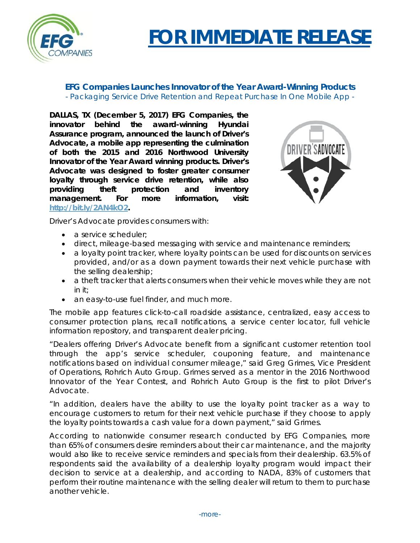

## **FOR IMMEDIATE RELEASE**

## **EFG Companies Launches Innovator of the Year Award-Winning Products** *- Packaging Service Drive Retention and Repeat Purchase In One Mobile App -*

**DALLAS, TX (December 5, 2017) EFG Companies, the innovator behind the award-winning Hyundai Assurance program, announced the launch of Driver's Advocate, a mobile app representing the culmination of both the 2015 and 2016 Northwood University Innovator of the Year Award winning products. Driver's Advocate was designed to foster greater consumer loyalty through service drive retention, while also providing theft protection and inventory management. For more information, visit: [http://bit.ly/2AN4kO2.](http://bit.ly/2AN4kO2)**



Driver's Advocate provides consumers with:

- a service scheduler:
- direct, mileage-based messaging with service and maintenance reminders;
- a loyalty point tracker, where loyalty points can be used for discounts on services provided, and/or as a down payment towards their next vehicle purchase with the selling dealership;
- a theft tracker that alerts consumers when their vehicle moves while they are not in it;
- an easy-to-use fuel finder, and much more.

The mobile app features click-to-call roadside assistance, centralized, easy access to consumer protection plans, recall notifications, a service center locator, full vehicle information repository, and transparent dealer pricing.

"Dealers offering Driver's Advocate benefit from a significant customer retention tool through the app's service scheduler, couponing feature, and maintenance notifications based on individual consumer mileage," said Greg Grimes, Vice President of Operations, Rohrich Auto Group. Grimes served as a mentor in the 2016 Northwood Innovator of the Year Contest, and Rohrich Auto Group is the first to pilot Driver's Advocate.

"In addition, dealers have the ability to use the loyalty point tracker as a way to encourage customers to return for their next vehicle purchase if they choose to apply the loyalty points towards a cash value for a down payment," said Grimes.

According to nationwide consumer research conducted by EFG Companies, more than 65% of consumers desire reminders about their car maintenance, and the majority would also like to receive service reminders and specials from their dealership. 63.5% of respondents said the availability of a dealership loyalty program would impact their decision to service at a dealership, and according to NADA, 83% of customers that perform their routine maintenance with the selling dealer will return to them to purchase another vehicle.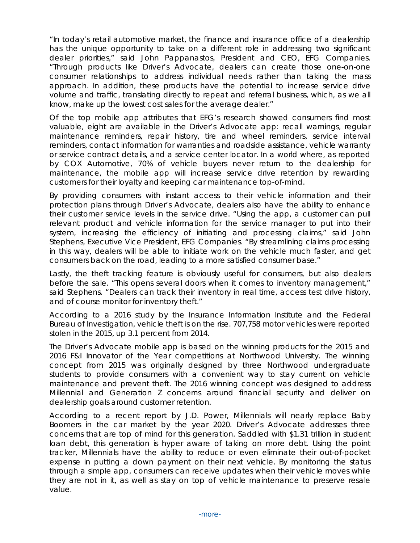"In today's retail automotive market, the finance and insurance office of a dealership has the unique opportunity to take on a different role in addressing two significant dealer priorities," said John Pappanastos, President and CEO, EFG Companies. "Through products like Driver's Advocate, dealers can create those one-on-one consumer relationships to address individual needs rather than taking the mass approach. In addition, these products have the potential to increase service drive volume and traffic, translating directly to repeat and referral business, which, as we all know, make up the lowest cost sales for the average dealer."

Of the top mobile app attributes that EFG's research showed consumers find most valuable, eight are available in the Driver's Advocate app: recall warnings, regular maintenance reminders, repair history, tire and wheel reminders, service interval reminders, contact information for warranties and roadside assistance, vehicle warranty or service contract details, and a service center locator. In a world where, as reported by COX Automotive, 70% of vehicle buyers never return to the dealership for maintenance, the mobile app will increase service drive retention by rewarding customers for their loyalty and keeping car maintenance top-of-mind.

By providing consumers with instant access to their vehicle information and their protection plans through Driver's Advocate, dealers also have the ability to enhance their customer service levels in the service drive. "Using the app, a customer can pull relevant product and vehicle information for the service manager to put into their system, increasing the efficiency of initiating and processing claims," said John Stephens, Executive Vice President, EFG Companies. "By streamlining claims processing in this way, dealers will be able to initiate work on the vehicle much faster, and get consumers back on the road, leading to a more satisfied consumer base."

Lastly, the theft tracking feature is obviously useful for consumers, but also dealers before the sale. "This opens several doors when it comes to inventory management," said Stephens. "Dealers can track their inventory in real time, access test drive history, and of course monitor for inventory theft."

According to a 2016 study by the Insurance Information Institute and the Federal Bureau of Investigation, vehicle theft is on the rise. 707,758 motor vehicles were reported stolen in the 2015, up 3.1 percent from 2014.

The Driver's Advocate mobile app is based on the winning products for the 2015 and 2016 F&I Innovator of the Year competitions at Northwood University. The winning concept from 2015 was originally designed by three Northwood undergraduate students to provide consumers with a convenient way to stay current on vehicle maintenance and prevent theft. The 2016 winning concept was designed to address Millennial and Generation Z concerns around financial security and deliver on dealership goals around customer retention.

According to a recent report by J.D. Power, Millennials will nearly replace Baby Boomers in the car market by the year 2020. Driver's Advocate addresses three concerns that are top of mind for this generation. Saddled with \$1.31 trillion in student loan debt, this generation is hyper aware of taking on more debt. Using the point tracker, Millennials have the ability to reduce or even eliminate their out-of-pocket expense in putting a down payment on their next vehicle. By monitoring the status through a simple app, consumers can receive updates when their vehicle moves while they are not in it, as well as stay on top of vehicle maintenance to preserve resale value.